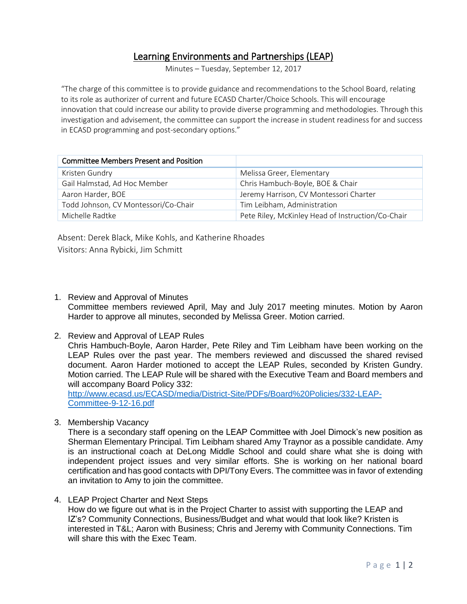# Learning Environments and Partnerships (LEAP)

Minutes – Tuesday, September 12, 2017

"The charge of this committee is to provide guidance and recommendations to the School Board, relating to its role as authorizer of current and future ECASD Charter/Choice Schools. This will encourage innovation that could increase our ability to provide diverse programming and methodologies. Through this investigation and advisement, the committee can support the increase in student readiness for and success in ECASD programming and post-secondary options."

| <b>Committee Members Present and Position</b> |                                                   |
|-----------------------------------------------|---------------------------------------------------|
| Kristen Gundry                                | Melissa Greer, Elementary                         |
| Gail Halmstad, Ad Hoc Member                  | Chris Hambuch-Boyle, BOE & Chair                  |
| Aaron Harder, BOE                             | Jeremy Harrison, CV Montessori Charter            |
| Todd Johnson, CV Montessori/Co-Chair          | Tim Leibham, Administration                       |
| Michelle Radtke                               | Pete Riley, McKinley Head of Instruction/Co-Chair |

Absent: Derek Black, Mike Kohls, and Katherine Rhoades Visitors: Anna Rybicki, Jim Schmitt

- 1. Review and Approval of Minutes Committee members reviewed April, May and July 2017 meeting minutes. Motion by Aaron Harder to approve all minutes, seconded by Melissa Greer. Motion carried.
- 2. Review and Approval of LEAP Rules

Chris Hambuch-Boyle, Aaron Harder, Pete Riley and Tim Leibham have been working on the LEAP Rules over the past year. The members reviewed and discussed the shared revised document. Aaron Harder motioned to accept the LEAP Rules, seconded by Kristen Gundry. Motion carried. The LEAP Rule will be shared with the Executive Team and Board members and will accompany Board Policy 332:

[http://www.ecasd.us/ECASD/media/District-Site/PDFs/Board%20Policies/332-LEAP-](http://www.ecasd.us/ECASD/media/District-Site/PDFs/Board%20Policies/332-LEAP-Committee-9-12-16.pdf)[Committee-9-12-16.pdf](http://www.ecasd.us/ECASD/media/District-Site/PDFs/Board%20Policies/332-LEAP-Committee-9-12-16.pdf)

3. Membership Vacancy

There is a secondary staff opening on the LEAP Committee with Joel Dimock's new position as Sherman Elementary Principal. Tim Leibham shared Amy Traynor as a possible candidate. Amy is an instructional coach at DeLong Middle School and could share what she is doing with independent project issues and very similar efforts. She is working on her national board certification and has good contacts with DPI/Tony Evers. The committee was in favor of extending an invitation to Amy to join the committee.

4. LEAP Project Charter and Next Steps

How do we figure out what is in the Project Charter to assist with supporting the LEAP and IZ's? Community Connections, Business/Budget and what would that look like? Kristen is interested in T&L; Aaron with Business; Chris and Jeremy with Community Connections. Tim will share this with the Exec Team.